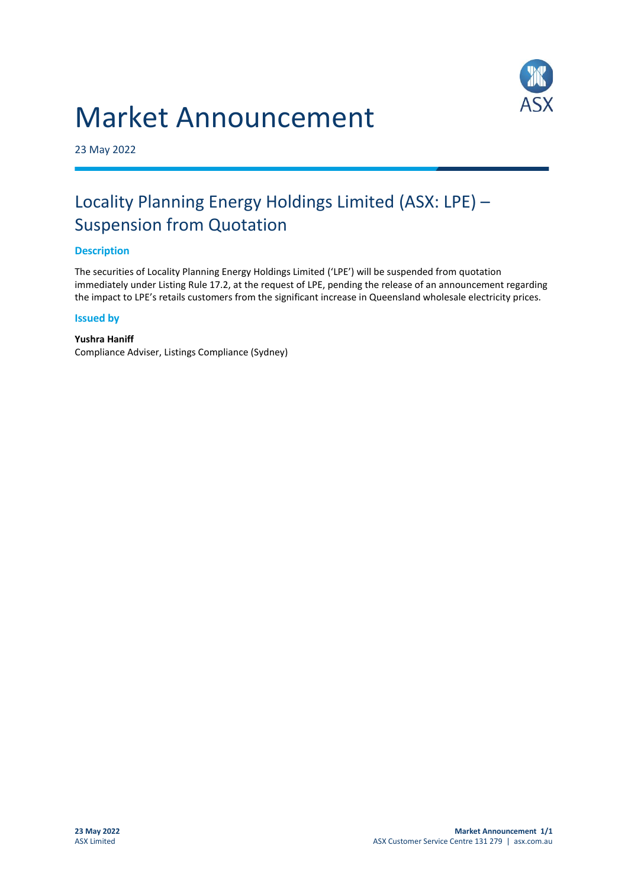# Market Announcement



23 May 2022

## Locality Planning Energy Holdings Limited (ASX: LPE) – Suspension from Quotation

#### **Description**

The securities of Locality Planning Energy Holdings Limited ('LPE') will be suspended from quotation immediately under Listing Rule 17.2, at the request of LPE, pending the release of an announcement regarding the impact to LPE's retails customers from the significant increase in Queensland wholesale electricity prices.

#### **Issued by**

**Yushra Haniff** Compliance Adviser, Listings Compliance (Sydney)